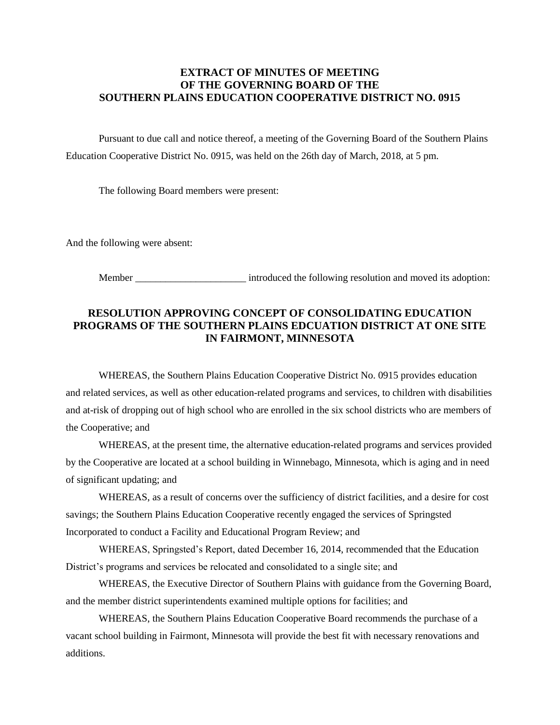## **EXTRACT OF MINUTES OF MEETING OF THE GOVERNING BOARD OF THE SOUTHERN PLAINS EDUCATION COOPERATIVE DISTRICT NO. 0915**

Pursuant to due call and notice thereof, a meeting of the Governing Board of the Southern Plains Education Cooperative District No. 0915, was held on the 26th day of March, 2018, at 5 pm.

The following Board members were present:

And the following were absent:

Member \_\_\_\_\_\_\_\_\_\_\_\_\_\_\_\_\_\_\_\_\_\_\_\_ introduced the following resolution and moved its adoption:

## **RESOLUTION APPROVING CONCEPT OF CONSOLIDATING EDUCATION PROGRAMS OF THE SOUTHERN PLAINS EDCUATION DISTRICT AT ONE SITE IN FAIRMONT, MINNESOTA**

WHEREAS, the Southern Plains Education Cooperative District No. 0915 provides education and related services, as well as other education-related programs and services, to children with disabilities and at-risk of dropping out of high school who are enrolled in the six school districts who are members of the Cooperative; and

WHEREAS, at the present time, the alternative education-related programs and services provided by the Cooperative are located at a school building in Winnebago, Minnesota, which is aging and in need of significant updating; and

WHEREAS, as a result of concerns over the sufficiency of district facilities, and a desire for cost savings; the Southern Plains Education Cooperative recently engaged the services of Springsted Incorporated to conduct a Facility and Educational Program Review; and

WHEREAS, Springsted's Report, dated December 16, 2014, recommended that the Education District's programs and services be relocated and consolidated to a single site; and

WHEREAS, the Executive Director of Southern Plains with guidance from the Governing Board, and the member district superintendents examined multiple options for facilities; and

WHEREAS, the Southern Plains Education Cooperative Board recommends the purchase of a vacant school building in Fairmont, Minnesota will provide the best fit with necessary renovations and additions.